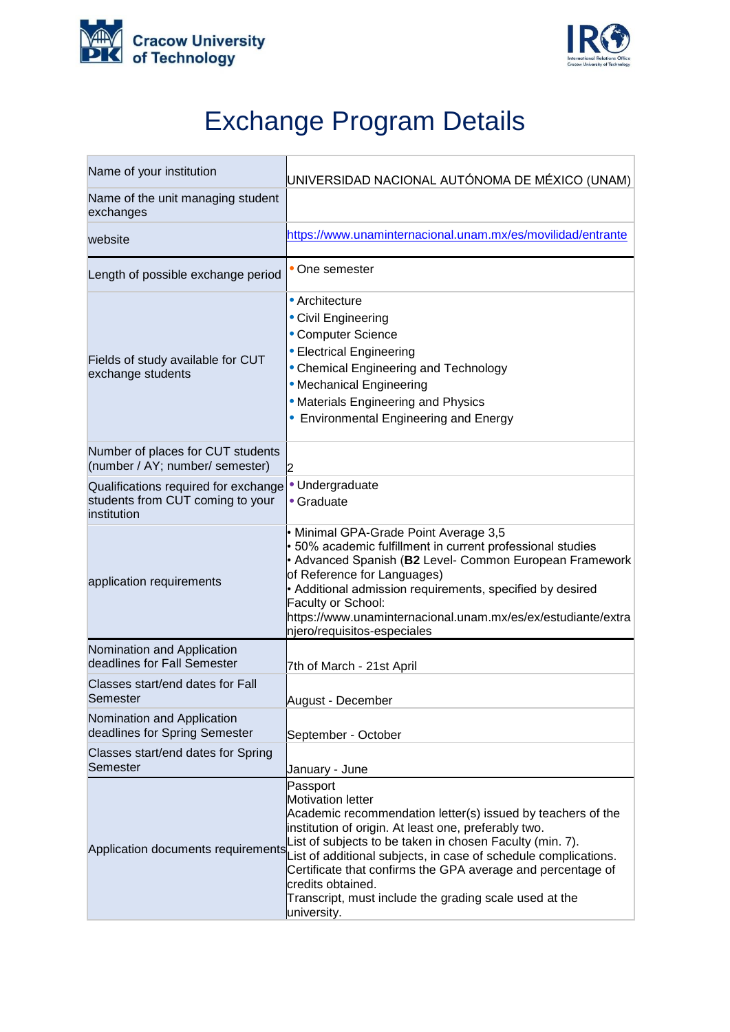



## Exchange Program Details

| Name of your institution                                                                | UNIVERSIDAD NACIONAL AUTÓNOMA DE MÉXICO (UNAM)                                                                                                                                                                                                                                                                                                                                                                                                                                             |
|-----------------------------------------------------------------------------------------|--------------------------------------------------------------------------------------------------------------------------------------------------------------------------------------------------------------------------------------------------------------------------------------------------------------------------------------------------------------------------------------------------------------------------------------------------------------------------------------------|
| Name of the unit managing student<br>exchanges                                          |                                                                                                                                                                                                                                                                                                                                                                                                                                                                                            |
| website                                                                                 | https://www.unaminternacional.unam.mx/es/movilidad/entrante                                                                                                                                                                                                                                                                                                                                                                                                                                |
| Length of possible exchange period                                                      | One semester                                                                                                                                                                                                                                                                                                                                                                                                                                                                               |
| Fields of study available for CUT<br>exchange students                                  | • Architecture<br>• Civil Engineering<br>• Computer Science<br>• Electrical Engineering<br>• Chemical Engineering and Technology<br>• Mechanical Engineering<br>• Materials Engineering and Physics<br>• Environmental Engineering and Energy                                                                                                                                                                                                                                              |
| Number of places for CUT students<br>(number / AY; number/ semester)                    | 2                                                                                                                                                                                                                                                                                                                                                                                                                                                                                          |
| Qualifications required for exchange<br>students from CUT coming to your<br>institution | · Undergraduate<br>• Graduate                                                                                                                                                                                                                                                                                                                                                                                                                                                              |
| application requirements                                                                | • Minimal GPA-Grade Point Average 3,5<br>• 50% academic fulfillment in current professional studies<br>• Advanced Spanish (B2 Level- Common European Framework<br>of Reference for Languages)<br>• Additional admission requirements, specified by desired<br>Faculty or School:<br>https://www.unaminternacional.unam.mx/es/ex/estudiante/extra<br>njero/requisitos-especiales                                                                                                            |
| Nomination and Application<br>deadlines for Fall Semester                               | 7th of March - 21st April                                                                                                                                                                                                                                                                                                                                                                                                                                                                  |
| Classes start/end dates for Fall<br>Semester                                            | August - December                                                                                                                                                                                                                                                                                                                                                                                                                                                                          |
| Nomination and Application<br>deadlines for Spring Semester                             | September - October                                                                                                                                                                                                                                                                                                                                                                                                                                                                        |
| Classes start/end dates for Spring<br>Semester                                          | January - June                                                                                                                                                                                                                                                                                                                                                                                                                                                                             |
|                                                                                         | Passport<br><b>Motivation letter</b><br>Academic recommendation letter(s) issued by teachers of the<br>institution of origin. At least one, preferably two.<br>List of subjects to be taken in chosen Faculty (min. 7).<br>Application documents requirements List of additional subjects, in case of schedule complications.<br>Certificate that confirms the GPA average and percentage of<br>credits obtained.<br>Transcript, must include the grading scale used at the<br>university. |